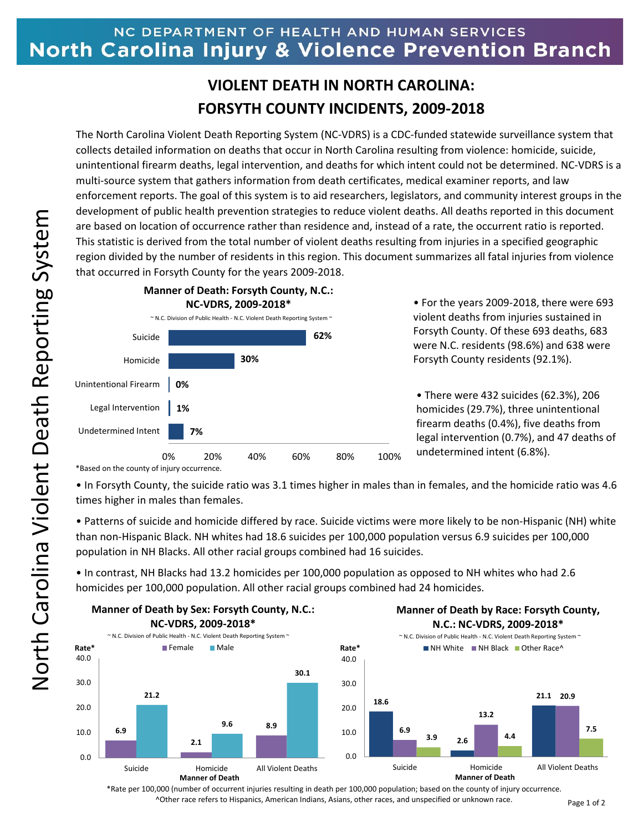## NC DEPARTMENT OF HEALTH AND HUMAN SERVICES North Carolina Injury & Violence Prevention Branch

## **VIOLENT DEATH IN NORTH CAROLINA: FORSYTH COUNTY INCIDENTS, 2009-2018**

The North Carolina Violent Death Reporting System (NC-VDRS) is a CDC-funded statewide surveillance system that collects detailed information on deaths that occur in North Carolina resulting from violence: homicide, suicide, unintentional firearm deaths, legal intervention, and deaths for which intent could not be determined. NC-VDRS is a multi-source system that gathers information from death certificates, medical examiner reports, and law enforcement reports. The goal of this system is to aid researchers, legislators, and community interest groups in the development of public health prevention strategies to reduce violent deaths. All deaths reported in this document are based on location of occurrence rather than residence and, instead of a rate, the occurrent ratio is reported. This statistic is derived from the total number of violent deaths resulting from injuries in a specified geographic region divided by the number of residents in this region. This document summarizes all fatal injuries from violence that occurred in Forsyth County for the years 2009-2018.



• For the years 2009-2018, there were 693 violent deaths from injuries sustained in Forsyth County. Of these 693 deaths, 683 were N.C. residents (98.6%) and 638 were Forsyth County residents (92.1%).

• There were 432 suicides (62.3%), 206 homicides (29.7%), three unintentional firearm deaths (0.4%), five deaths from legal intervention (0.7%), and 47 deaths of undetermined intent (6.8%).

\*Based on the county of injury occurrence.

• In Forsyth County, the suicide ratio was 3.1 times higher in males than in females, and the homicide ratio was 4.6 times higher in males than females.

• Patterns of suicide and homicide differed by race. Suicide victims were more likely to be non-Hispanic (NH) white than non-Hispanic Black. NH whites had 18.6 suicides per 100,000 population versus 6.9 suicides per 100,000 population in NH Blacks. All other racial groups combined had 16 suicides.

• In contrast, NH Blacks had 13.2 homicides per 100,000 population as opposed to NH whites who had 2.6 homicides per 100,000 population. All other racial groups combined had 24 homicides.



\*Rate per 100,000 (number of occurrent injuries resulting in death per 100,000 population; based on the county of injury occurrence. ^Other race refers to Hispanics, American Indians, Asians, other races, and unspecified or unknown race.